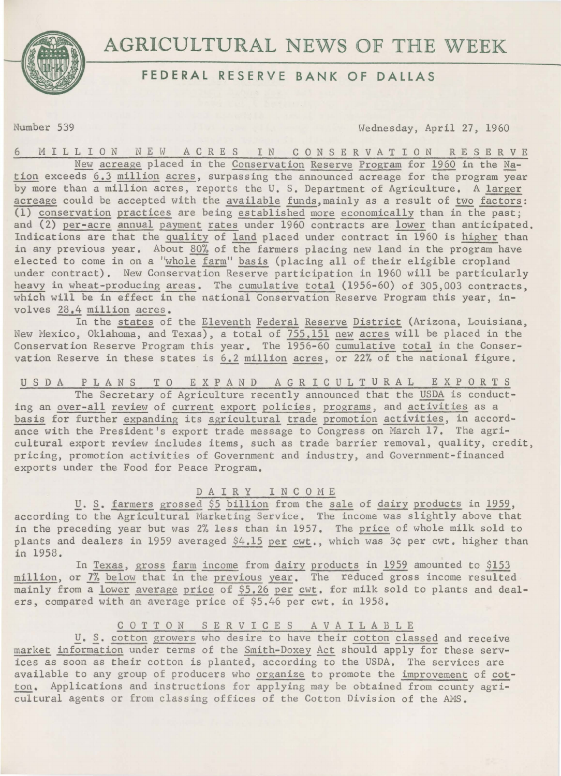

# AGRICULTURAL NEWS OF THE WEEK

# **FEDERAL RESERVE BANK OF DALLAS**

Number 539 Wednesday, April 27, 1960

6 M I L L I 0 N N E W ACRE S I N C 0 N S E R V A T I 0 N R E S E R V E New acreage placed in the Conservation Reserve Program for 1960 in the Nation exceeds 6.3 million acres, surpassing the announced acreage for the program year by more than a million acres, reports the U. S. Department of Agriculture. A larger acreage could be accepted with the available funds, mainly as a result of two factors: (1) <u>conservation</u> practices are being established more economically than in the past;<br>and (2) <u>per-acre</u> <u>annual payment rates</u> under 1960 contracts are lower than anticipated. and  $(2)$  per-acre annual payment rates under 1960 contracts are lower than anticipated.<br>Indications are that the quality of land placed under contract in 1960 is higher than in any previous year. About 80% of the farmers placing new land in the program have elected to come in on a "whole farm" basis (placing all of their eligible cropland under contract). New Conservation Reserve participation in 1960 will be particularly heavy in wheat-producing areas. The cumulative total (1956-60) of 305,003 contracts, which will be in effect in the national Conservation Reserve Program this year, involves 28.4 million acres.

In the states of the Eleventh Federal Reserve District (Arizona, Louisiana, New Mexico, Oklahoma, and Texas), a total of 755,151 new acres will be placed in the Conservation Reserve Program this year. The 1956-60 cumulative total in the Conservation Reserve in these states is 6.2 million acres, or 22% of the national figure.

U S D A P L A N S T 0 E X P A N D AGRICULTURAL EXPORTS

The Secretary of Agriculture recently announced that the USDA is conducting an over-all review of current export policies, programs, and activities as a basis for further expanding its agricultural trade promotion activities, in accordance with the President's export trade message to Congress on March 17. The agricultural export review includes items, such as trade barrier removal, quality, credit, pricing, promotion activities of Government and industry, and Government-financed exports under the Food for Peace Program.

## DA IR Y INCOME

**U. S. farmers grossed \$5 billion from the sale of dairy products in 1959,** according to the Agricultural Marketing Service. The income was slightly above that in the preceding year but was 2% less than in 1957. The price of whole milk sold to plants and dealers in 1959 averaged \$4.15 per cwt., which was 3¢ per cwt. higher than in 1958.

In Texas, gross farm income from dairy products in 1959 amounted to \$153 million, or 7% below that in the previous year. The reduced gross income resulted mainly from a lower average price of \$5.26 per cwt. for milk sold to plants and dealers, compared with an average price of \$5.46 per cwt. in 1958.

## COTTON SERVICES AVAILABLE

u. s. cotton growers who desire to have their cotton classed and receive market information under terms of the Smith-Doxey Act should apply for these services as soon as their cotton is planted, according to the USDA. The services are available to any group of producers who organize to promote the improvement of cotton. Applications and instructions for applying may be obtained from county agricultural agents or from classing offices of the Cotton Division of the AMS.